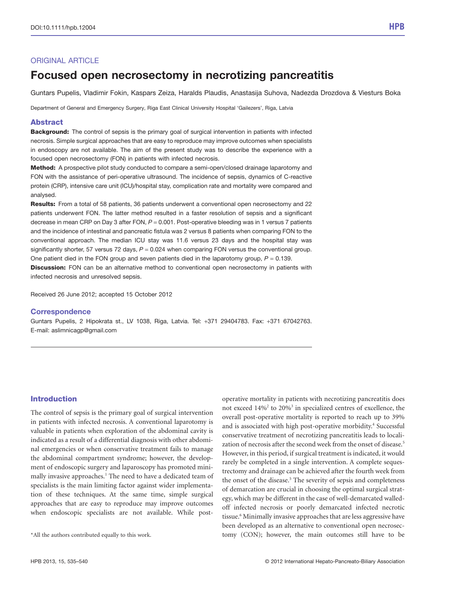# ORIGINAL ARTICLE

# Focused open necrosectomy in necrotizing pancreatitis

Guntars Pupelis, Vladimir Fokin, Kaspars Zeiza, Haralds Plaudis, Anastasija Suhova, Nadezda Drozdova & Viesturs Boka

Department of General and Emergency Surgery, Riga East Clinical University Hospital 'Gailezers', Riga, Latvia

### Abstract

**Background:** The control of sepsis is the primary goal of surgical intervention in patients with infected necrosis. Simple surgical approaches that are easy to reproduce may improve outcomes when specialists in endoscopy are not available. The aim of the present study was to describe the experience with a focused open necrosectomy (FON) in patients with infected necrosis.

Method: A prospective pilot study conducted to compare a semi-open/closed drainage laparotomy and FON with the assistance of peri-operative ultrasound. The incidence of sepsis, dynamics of C-reactive protein (CRP), intensive care unit (ICU)/hospital stay, complication rate and mortality were compared and analysed.

Results: From a total of 58 patients, 36 patients underwent a conventional open necrosectomy and 22 patients underwent FON. The latter method resulted in a faster resolution of sepsis and a significant decrease in mean CRP on Day 3 after FON,  $P = 0.001$ . Post-operative bleeding was in 1 versus 7 patients and the incidence of intestinal and pancreatic fistula was 2 versus 8 patients when comparing FON to the conventional approach. The median ICU stay was 11.6 versus 23 days and the hospital stay was significantly shorter, 57 versus 72 days,  $P = 0.024$  when comparing FON versus the conventional group. One patient died in the FON group and seven patients died in the laparotomy group,  $P = 0.139$ .

**Discussion:** FON can be an alternative method to conventional open necrosectomy in patients with infected necrosis and unresolved sepsis.

Received 26 June 2012; accepted 15 October 2012

#### **Correspondence**

Guntars Pupelis, 2 Hipokrata st., LV 1038, Riga, Latvia. Tel: +371 29404783. Fax: +371 67042763. E-mail: aslimnicagp@gmail.com

# Introduction

The control of sepsis is the primary goal of surgical intervention in patients with infected necrosis. A conventional laparotomy is valuable in patients when exploration of the abdominal cavity is indicated as a result of a differential diagnosis with other abdominal emergencies or when conservative treatment fails to manage the abdominal compartment syndrome; however, the development of endoscopic surgery and laparoscopy has promoted minimally invasive approaches.<sup>1</sup> The need to have a dedicated team of specialists is the main limiting factor against wider implementation of these techniques. At the same time, simple surgical approaches that are easy to reproduce may improve outcomes when endoscopic specialists are not available. While post-

operative mortality in patients with necrotizing pancreatitis does not exceed 14%2 to 20%3 in specialized centres of excellence, the overall post-operative mortality is reported to reach up to 39% and is associated with high post-operative morbidity.<sup>4</sup> Successful conservative treatment of necrotizing pancreatitis leads to localization of necrosis after the second week from the onset of disease.<sup>5</sup> However, in this period, if surgical treatment is indicated, it would rarely be completed in a single intervention. A complete sequestrectomy and drainage can be achieved after the fourth week from the onset of the disease.<sup>5</sup> The severity of sepsis and completeness of demarcation are crucial in choosing the optimal surgical strategy, which may be different in the case of well-demarcated walledoff infected necrosis or poorly demarcated infected necrotic tissue.<sup>6</sup> Minimally invasive approaches that are less aggressive have been developed as an alternative to conventional open necrosec- \*All the authors contributed equally to this work. tomy (CON); however, the main outcomes still have to be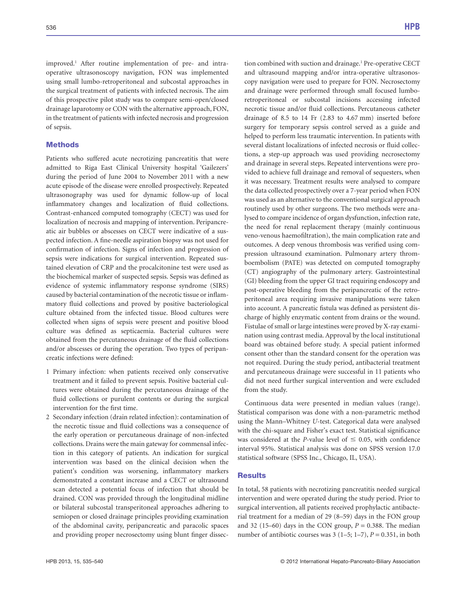improved.<sup>1</sup> After routine implementation of pre- and intraoperative ultrasonoscopy navigation, FON was implemented using small lumbo-retroperitoneal and subcostal approaches in the surgical treatment of patients with infected necrosis. The aim of this prospective pilot study was to compare semi-open/closed drainage laparotomy or CON with the alternative approach, FON, in the treatment of patients with infected necrosis and progression of sepsis.

### **Methods**

Patients who suffered acute necrotizing pancreatitis that were admitted to Riga East Clinical University hospital 'Gailezers' during the period of June 2004 to November 2011 with a new acute episode of the disease were enrolled prospectively. Repeated ultrasonography was used for dynamic follow-up of local inflammatory changes and localization of fluid collections. Contrast-enhanced computed tomography (CECT) was used for localization of necrosis and mapping of intervention. Peripancreatic air bubbles or abscesses on CECT were indicative of a suspected infection. A fine-needle aspiration biopsy was not used for confirmation of infection. Signs of infection and progression of sepsis were indications for surgical intervention. Repeated sustained elevation of CRP and the procalcitonine test were used as the biochemical marker of suspected sepsis. Sepsis was defined as evidence of systemic inflammatory response syndrome (SIRS) caused by bacterial contamination of the necrotic tissue or inflammatory fluid collections and proved by positive bacteriological culture obtained from the infected tissue. Blood cultures were collected when signs of sepsis were present and positive blood culture was defined as septicaemia. Bacterial cultures were obtained from the percutaneous drainage of the fluid collections and/or abscesses or during the operation. Two types of peripancreatic infections were defined:

- 1 Primary infection: when patients received only conservative treatment and it failed to prevent sepsis. Positive bacterial cultures were obtained during the percutaneous drainage of the fluid collections or purulent contents or during the surgical intervention for the first time.
- 2 Secondary infection (drain related infection): contamination of the necrotic tissue and fluid collections was a consequence of the early operation or percutaneous drainage of non-infected collections. Drains were the main gateway for commensal infection in this category of patients. An indication for surgical intervention was based on the clinical decision when the patient's condition was worsening, inflammatory markers demonstrated a constant increase and a CECT or ultrasound scan detected a potential focus of infection that should be drained. CON was provided through the longitudinal midline or bilateral subcostal transperitoneal approaches adhering to semiopen or closed drainage principles providing examination of the abdominal cavity, peripancreatic and paracolic spaces and providing proper necrosectomy using blunt finger dissec-

tion combined with suction and drainage.<sup>1</sup> Pre-operative CECT and ultrasound mapping and/or intra-operative ultrasonoscopy navigation were used to prepare for FON. Necrosectomy and drainage were performed through small focused lumboretroperitoneal or subcostal incisions accessing infected necrotic tissue and/or fluid collections. Percutaneous catheter drainage of 8.5 to 14 Fr (2.83 to 4.67 mm) inserted before surgery for temporary sepsis control served as a guide and helped to perform less traumatic intervention. In patients with several distant localizations of infected necrosis or fluid collections, a step-up approach was used providing necrosectomy and drainage in several steps. Repeated interventions were provided to achieve full drainage and removal of sequesters, when it was necessary. Treatment results were analysed to compare the data collected prospectively over a 7-year period when FON was used as an alternative to the conventional surgical approach routinely used by other surgeons. The two methods were analysed to compare incidence of organ dysfunction, infection rate, the need for renal replacement therapy (mainly continuous veno-venous haemofiltration), the main complication rate and outcomes. A deep venous thrombosis was verified using compression ultrasound examination. Pulmonary artery thromboembolism (PATE) was detected on computed tomography (CT) angiography of the pulmonary artery. Gastrointestinal (GI) bleeding from the upper GI tract requiring endoscopy and post-operative bleeding from the peripancreatic of the retroperitoneal area requiring invasive manipulations were taken into account. A pancreatic fistula was defined as persistent discharge of highly enzymatic content from drains or the wound. Fistulae of small or large intestines were proved by X-ray examination using contrast media. Approval by the local institutional board was obtained before study. A special patient informed consent other than the standard consent for the operation was not required. During the study period, antibacterial treatment and percutaneous drainage were successful in 11 patients who did not need further surgical intervention and were excluded from the study.

Continuous data were presented in median values (range). Statistical comparison was done with a non-parametric method using the Mann–Whitney *U*-test. Categorical data were analysed with the chi-square and Fisher's exact test. Statistical significance was considered at the *P*-value level of  $\leq$  0.05, with confidence interval 95%. Statistical analysis was done on SPSS version 17.0 statistical software (SPSS Inc., Chicago, IL, USA).

#### **Results**

In total, 58 patients with necrotizing pancreatitis needed surgical intervention and were operated during the study period. Prior to surgical intervention, all patients received prophylactic antibacterial treatment for a median of 29 (8–59) days in the FON group and 32 (15–60) days in the CON group,  $P = 0.388$ . The median number of antibiotic courses was  $3(1-5; 1-7)$ ,  $P = 0.351$ , in both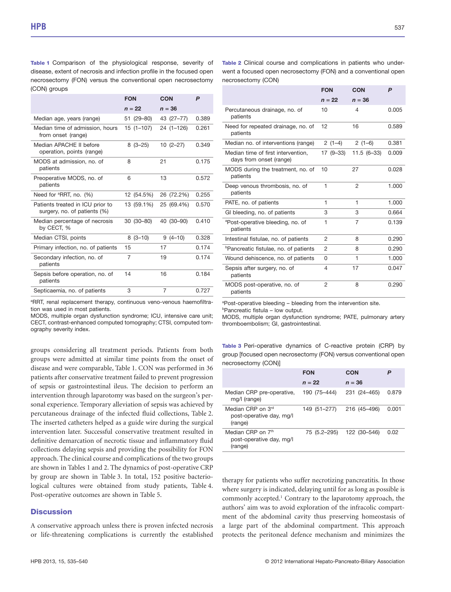Table 1 Comparison of the physiological response, severity of disease, extent of necrosis and infection profile in the focused open necrosectomy (FON) versus the conventional open necrosectomy (CON) groups

|                                                                  | <b>FON</b> | <b>CON</b>    | P     |
|------------------------------------------------------------------|------------|---------------|-------|
|                                                                  | $n = 22$   | $n = 36$      |       |
| Median age, years (range)                                        | 51 (29-80) | 43 (27-77)    | 0.389 |
| Median time of admission, hours<br>from onset (range)            | 15 (1-107) | $24(1 - 126)$ | 0.261 |
| Median APACHE II before<br>operation, points (range)             | $8(3-25)$  | $10(2-27)$    | 0.349 |
| MODS at admission, no. of<br>patients                            | 8          | 21            | 0.175 |
| Preoperative MODS, no. of<br>patients                            | 6          | 13            | 0.572 |
| Need for <sup>a</sup> RRT, no. (%)                               | 12 (54.5%) | 26 (72.2%)    | 0.255 |
| Patients treated in ICU prior to<br>surgery, no. of patients (%) | 13 (59.1%) | 25 (69.4%)    | 0.570 |
| Median percentage of necrosis<br>by CECT, %                      | 30 (30-80) | 40 (30-90)    | 0.410 |
| Median CTSI, points                                              | $8(3-10)$  | $9(4-10)$     | 0.328 |
| Primary infection, no. of patients                               | 15         | 17            | 0.174 |
| Secondary infection, no. of<br>patients                          | 7          | 19            | 0.174 |
| Sepsis before operation, no. of<br>patients                      | 14         | 16            | 0.184 |
| Septicaemia, no. of patients                                     | 3          | 7             | 0.727 |

a RRT, renal replacement therapy, continuous veno-venous haemofiltration was used in most patients.

MODS, multiple organ dysfunction syndrome; ICU, intensive care unit; CECT, contrast-enhanced computed tomography; CTSI, computed tomography severity index.

groups considering all treatment periods. Patients from both groups were admitted at similar time points from the onset of disease and were comparable, Table 1. CON was performed in 36 patients after conservative treatment failed to prevent progression of sepsis or gastrointestinal ileus. The decision to perform an intervention through laparotomy was based on the surgeon's personal experience. Temporary alleviation of sepsis was achieved by percutaneous drainage of the infected fluid collections, Table 2. The inserted catheters helped as a guide wire during the surgical intervention later. Successful conservative treatment resulted in definitive demarcation of necrotic tissue and inflammatory fluid collections delaying sepsis and providing the possibility for FON approach. The clinical course and complications of the two groups are shown in Tables 1 and 2. The dynamics of post-operative CRP by group are shown in Table 3. In total, 152 positive bacteriological cultures were obtained from study patients, Table 4. Post-operative outcomes are shown in Table 5.

## **Discussion**

A conservative approach unless there is proven infected necrosis or life-threatening complications is currently the established Table 2 Clinical course and complications in patients who underwent a focused open necrosectomy (FON) and a conventional open necrosectomy (CON)

|                                                               | <b>FON</b> | <b>CON</b>     | P     |
|---------------------------------------------------------------|------------|----------------|-------|
|                                                               | $n = 22$   | $n = 36$       |       |
| Percutaneous drainage, no. of<br>patients                     | 10         | 4              | 0.005 |
| Need for repeated drainage, no. of<br>patients                | 12         | 16             | 0.589 |
| Median no. of interventions (range)                           | $2(1-4)$   | $2(1-6)$       | 0.381 |
| Median time of first intervention.<br>days from onset (range) | 17 (9–33)  | $11.5(6-33)$   | 0.009 |
| MODS during the treatment, no. of<br>patients                 | 10         | 27             | 0.028 |
| Deep venous thrombosis, no. of<br>patients                    | 1          | $\overline{2}$ | 1.000 |
| PATE, no. of patients                                         | 1          | 1              | 1.000 |
| GI bleeding, no. of patients                                  | 3          | 3              | 0.664 |
| <sup>a</sup> Post-operative bleeding, no. of<br>patients      | 1          | 7              | 0.139 |
| Intestinal fistulae, no. of patients                          | 2          | 8              | 0.290 |
| <b>Pancreatic fistulae, no. of patients</b>                   | 2          | 8              | 0.290 |
| Wound dehiscence, no. of patients                             | 0          | 1              | 1.000 |
| Sepsis after surgery, no. of<br>patients                      | 4          | 17             | 0.047 |
| MODS post-operative, no. of<br>patients                       | 2          | 8              | 0.290 |

a Post-operative bleeding – bleeding from the intervention site. b Pancreatic fistula – low output.

MODS, multiple organ dysfunction syndrome; PATE, pulmonary artery thromboembolism; GI, gastrointestinal.

Table 3 Peri-operative dynamics of C-reactive protein (CRP) by group [focused open necrosectomy (FON) versus conventional open necrosectomy (CON)]

|                                                                      | <b>FON</b>   | CON          |       |
|----------------------------------------------------------------------|--------------|--------------|-------|
|                                                                      | $n = 22$     | $n = 36$     |       |
| Median CRP pre-operative,<br>mg/l (range)                            | 190 (75–444) | 231 (24-465) | 0.879 |
| Median CRP on 3rd<br>post-operative day, mg/l<br>(range)             | 149 (51–277) | 216 (45–496) | 0.001 |
| Median CRP on 7 <sup>th</sup><br>post-operative day, mg/l<br>(range) | 75 (5.2–295) | 122 (30-546) | 0.02  |

therapy for patients who suffer necrotizing pancreatitis. In those where surgery is indicated, delaying until for as long as possible is commonly accepted.<sup>1</sup> Contrary to the laparotomy approach, the authors' aim was to avoid exploration of the infracolic compartment of the abdominal cavity thus preserving homeostasis of a large part of the abdominal compartment. This approach protects the peritoneal defence mechanism and minimizes the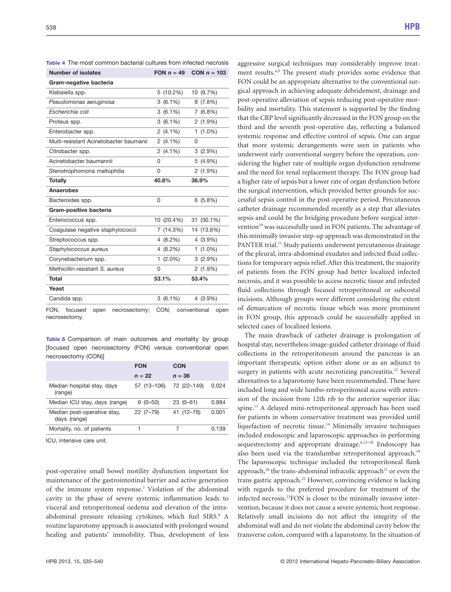| <b>Number of isolates</b>              | FON $n = 49$ | CON $n = 103$ |
|----------------------------------------|--------------|---------------|
| Gram-negative bacteria                 |              |               |
| Klebsiella spp.                        | 5 (10.2%)    | 10 (9.7%)     |
| Pseudomonas aeruginosa                 | $3(6.1\%)$   | 8(7.8%)       |
| Escherichia coli                       | $3(6.1\%)$   | 7(6.8%)       |
| Proteus spp.                           | $3(6.1\%)$   | $2(1.9\%)$    |
| Enterobacter spp.                      | $2(4.1\%)$   | $1(1.0\%)$    |
| Multi-resistant Acinetobacter baumanii | $2(4.1\%)$   | 0             |
| Citrobacter spp.                       | $2(4.1\%)$   | $3(2.9\%)$    |
| Acinetobacter baumannii                | 0            | $5(4.9\%)$    |
| Stenotrophomona maltophilia            | 0            | $2(1.9\%)$    |
| <b>Totally</b>                         | 40.8%        | 36.9%         |
| Anaerobes                              |              |               |
| Bacteroides spp.                       | 0            | 6(5.8%)       |
| Gram-positive bacteria                 |              |               |
| Enterococcus spp.                      | 10 (20.4%)   | 31 (30.1%)    |
| Coagulase negative staphylococci       | 7 (14.3%)    | 14 (13.6%)    |
| Streptococcus spp.                     | $4(8.2\%)$   | 4 (3.9%)      |
| Staphylococcus aureus                  | 4 (8.2%)     | $1(1.0\%)$    |
| Corynebacterium spp.                   | $1(2.0\%)$   | $3(2.9\%)$    |
| Methicillin-resistant S. aureus        | 0            | $2(1.9\%)$    |
| <b>Total</b>                           | 53.1%        | 53.4%         |
| Yeast                                  |              |               |
| Candida spp.                           | $3(6.1\%)$   | 4 (3.9%)      |
|                                        |              |               |

Table 4 The most common bacterial cultures from infected necrosis

FON, focused open necrosectomy; CON, conventional open necrosectomy.

Table 5 Comparison of main outcomes and mortality by group [focused open necrosectomy (FON) versus conventional open necrosectomy (CON)]

|                                             | <b>FON</b>  | CON         |       |
|---------------------------------------------|-------------|-------------|-------|
|                                             | $n = 22$    | $n = 36$    |       |
| Median hospital stay, days<br>(range)       | 57 (13-106) | 72 (22-149) | 0.024 |
| Median ICU stay, days (range)               | $6(0-50)$   | $23(0-61)$  | 0.884 |
| Median post-operative stay,<br>days (range) | $22(7-79)$  | 41 (12-78)  | 0.001 |
| Mortality, no. of patients                  |             | 7           | 0.139 |
|                                             |             |             |       |

ICU, intensive care unit.

post-operative small bowel motility dysfunction important for maintenance of the gastrointestinal barrier and active generation of the immune system response.7 Violation of the abdominal cavity in the phase of severe systemic inflammation leads to visceral and retroperitoneal oedema and elevation of the intraabdominal pressure releasing cytokines, which fuel SIRS.<sup>8</sup> A routine laparotomy approach is associated with prolonged wound healing and patients' immobility. Thus, development of less

aggressive surgical techniques may considerably improve treatment results.4,9 The present study provides some evidence that FON could be an appropriate alternative to the conventional surgical approach in achieving adequate debridement, drainage and post-operative alleviation of sepsis reducing post-operative morbidity and mortality. This statement is supported by the finding that the CRP level significantly decreased in the FON group on the third and the seventh post-operative day, reflecting a balanced systemic response and effective control of sepsis. One can argue that more systemic derangements were seen in patients who underwent early conventional surgery before the operation, considering the higher rate of multiple organ dysfunction syndrome and the need for renal replacement therapy. The FON group had a higher rate of sepsis but a lower rate of organ dysfunction before the surgical intervention, which provided better grounds for successful sepsis control in the post-operative period. Percutaneous catheter drainage recommended recently as a step that alleviates sepsis and could be the bridging procedure before surgical intervention<sup>10</sup> was successfully used in FON patients. The advantage of this minimally invasive step-up approach was demonstrated in the PANTER trial.<sup>11</sup> Study patients underwent percutaneous drainage of the pleural, intra-abdominal exudates and infected fluid collections for temporary sepsis relief. After this treatment, the majority of patients from the FON group had better localized infected necrosis, and it was possible to access necrotic tissue and infected fluid collections through focused retroperitoneal or subcostal incisions. Although groups were different considering the extent of demarcation of necrotic tissue which was more prominent in FON group, this approach could be successfully applied in selected cases of localized lesions.

The main drawback of catheter drainage is prolongation of hospital stay, nevertheless image-guided catheter drainage of fluid collections in the retroperitoneum around the pancreas is an important therapeutic option either alone or as an adjunct to surgery in patients with acute necrotizing pancreatitis.<sup>12</sup> Several alternatives to a laparotomy have been recommended. These have included long and wide lumbo-retroperitoneal access with extension of the incision from 12th rib to the anterior superior iliac spine.13 A delayed mini-retroperitoneal approach has been used for patients in whom conservative treatment was provided until liquefaction of necrotic tissue.14 Minimally invasive techniques included endoscopic and laparoscopic approaches in performing sequestrectomy and appropriate drainage.<sup>6,15-18</sup> Endoscopy has also been used via the translumbar retroperitoneal approach.<sup>19</sup> The laparoscopic technique included the retroperitoneal flank approach, $^{20}$  the trans-abdominal infracolic approach<sup>21</sup> or even the trans gastric approach.<sup>22</sup> However, convincing evidence is lacking with regards to the preferred procedure for treatment of the infected necrosis.23FON is closer to the minimally invasive intervention, because it does not cause a severe systemic host response. Relatively small incisions do not affect the integrity of the abdominal wall and do not violate the abdominal cavity below the transverse colon, compared with a laparotomy. In the situation of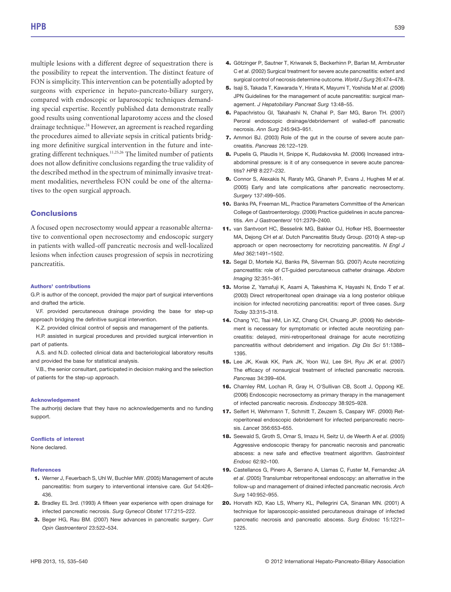multiple lesions with a different degree of sequestration there is the possibility to repeat the intervention. The distinct feature of FON is simplicity. This intervention can be potentially adopted by surgeons with experience in hepato-pancreato-biliary surgery, compared with endoscopic or laparoscopic techniques demanding special expertise. Recently published data demonstrate really good results using conventional laparotomy access and the closed drainage technique.<sup>24</sup> However, an agreement is reached regarding the procedures aimed to alleviate sepsis in critical patients bridging more definitive surgical intervention in the future and integrating different techniques.<sup>11,25,26</sup> The limited number of patients does not allow definitive conclusions regarding the true validity of the described method in the spectrum of minimally invasive treatment modalities, nevertheless FON could be one of the alternatives to the open surgical approach.

## **Conclusions**

A focused open necrosectomy would appear a reasonable alternative to conventional open necrosectomy and endoscopic surgery in patients with walled-off pancreatic necrosis and well-localized lesions when infection causes progression of sepsis in necrotizing pancreatitis.

#### Authors' contributions

G.P. is author of the concept, provided the major part of surgical interventions and drafted the article.

V.F. provided percutaneous drainage providing the base for step-up approach bridging the definitive surgical intervention.

K.Z. provided clinical control of sepsis and management of the patients.

H.P. assisted in surgical procedures and provided surgical intervention in part of patients.

A.S. and N.D. collected clinical data and bacteriological laboratory results and provided the base for statistical analysis.

V.B., the senior consultant, participated in decision making and the selection of patients for the step-up approach.

#### Acknowledgement

The author(s) declare that they have no acknowledgements and no funding support.

#### Conflicts of interest

None declared.

#### References

- 1. Werner J, Feuerbach S, Uhl W, Buchler MW. (2005) Management of acute pancreatitis: from surgery to interventional intensive care. Gut 54:426– 436.
- 2. Bradley EL 3rd. (1993) A fifteen year experience with open drainage for infected pancreatic necrosis. Surg Gynecol Obstet 177:215–222.
- 3. Beger HG, Rau BM. (2007) New advances in pancreatic surgery. Curr Opin Gastroenterol 23:522–534.
- 4. Götzinger P, Sautner T, Kriwanek S, Beckerhinn P, Barlan M, Armbruster C et al. (2002) Surgical treatment for severe acute pancreatitis: extent and surgical control of necrosis determine outcome. World J Surg 26:474–478.
- 5. Isaji S, Takada T, Kawarada Y, Hirata K, Mayumi T, Yoshida M et al. (2006) JPN Guidelines for the management of acute pancreatitis: surgical management. J Hepatobiliary Pancreat Surg 13:48–55.
- 6. Papachristou GI, Takahashi N, Chahal P, Sarr MG, Baron TH. (2007) Peroral endoscopic drainage/debridement of walled-off pancreatic necrosis. Ann Surg 245:943–951.
- 7. Ammori BJ. (2003) Role of the gut in the course of severe acute pancreatitis. Pancreas 26:122–129.
- 8. Pupelis G, Plaudis H, Snippe K, Rudakovska M. (2006) Increased intraabdominal pressure: is it of any consequence in severe acute pancreatitis? HPB 8:227–232.
- 9. Connor S, Alexakis N, Raraty MG, Ghaneh P, Evans J, Hughes M et al. (2005) Early and late complications after pancreatic necrosectomy. Surgery 137:499–505.
- 10. Banks PA, Freeman ML, Practice Parameters Committee of the American College of Gastroenterology. (2006) Practice guidelines in acute pancreatitis. Am J Gastroenterol 101:2379–2400.
- 11. van Santvoort HC, Besselink MG, Bakker OJ, Hofker HS, Boermeester MA, Dejong CH et al. Dutch Pancreatitis Study Group. (2010) A step-up approach or open necrosectomy for necrotizing pancreatitis. N Engl J Med 362:1491–1502.
- 12. Segal D, Mortele KJ, Banks PA, Silverman SG. (2007) Acute necrotizing pancreatitis: role of CT-guided percutaneous catheter drainage. Abdom Imaging 32:351–361.
- 13. Morise Z, Yamafuji K, Asami A, Takeshima K, Hayashi N, Endo T et al. (2003) Direct retroperitoneal open drainage via a long posterior oblique incision for infected necrotizing pancreatitis: report of three cases. Surg Today 33:315–318.
- 14. Chang YC, Tsai HM, Lin XZ, Chang CH, Chuang JP. (2006) No debridement is necessary for symptomatic or infected acute necrotizing pancreatitis: delayed, mini-retroperitoneal drainage for acute necrotizing pancreatitis without debridement and irrigation. Dig Dis Sci 51:1388-1395.
- 15. Lee JK, Kwak KK, Park JK, Yoon WJ, Lee SH, Ryu JK et al. (2007) The efficacy of nonsurgical treatment of infected pancreatic necrosis. Pancreas 34:399–404.
- 16. Charnley RM, Lochan R, Gray H, O'Sullivan CB, Scott J, Oppong KE. (2006) Endoscopic necrosectomy as primary therapy in the management of infected pancreatic necrosis. Endoscopy 38:925–928.
- 17. Seifert H, Wehrmann T, Schmitt T, Zeuzem S, Caspary WF. (2000) Retroperitoneal endoscopic debridement for infected peripancreatic necrosis. Lancet 356:653–655.
- 18. Seewald S, Groth S, Omar S, Imazu H, Seitz U, de Weerth A et al. (2005) Aggressive endoscopic therapy for pancreatic necrosis and pancreatic abscess: a new safe and effective treatment algorithm. Gastrointest Endosc 62:92–100.
- 19. Castellanos G, Pinero A, Serrano A, Llamas C, Fuster M, Fernandez JA et al. (2005) Translumbar retroperitoneal endoscopy: an alternative in the follow-up and management of drained infected pancreatic necrosis. Arch Surg 140:952–955.
- 20. Horvath KD, Kao LS, Wherry KL, Pellegrini CA, Sinanan MN. (2001) A technique for laparoscopic-assisted percutaneous drainage of infected pancreatic necrosis and pancreatic abscess. Surg Endosc 15:1221– 1225.